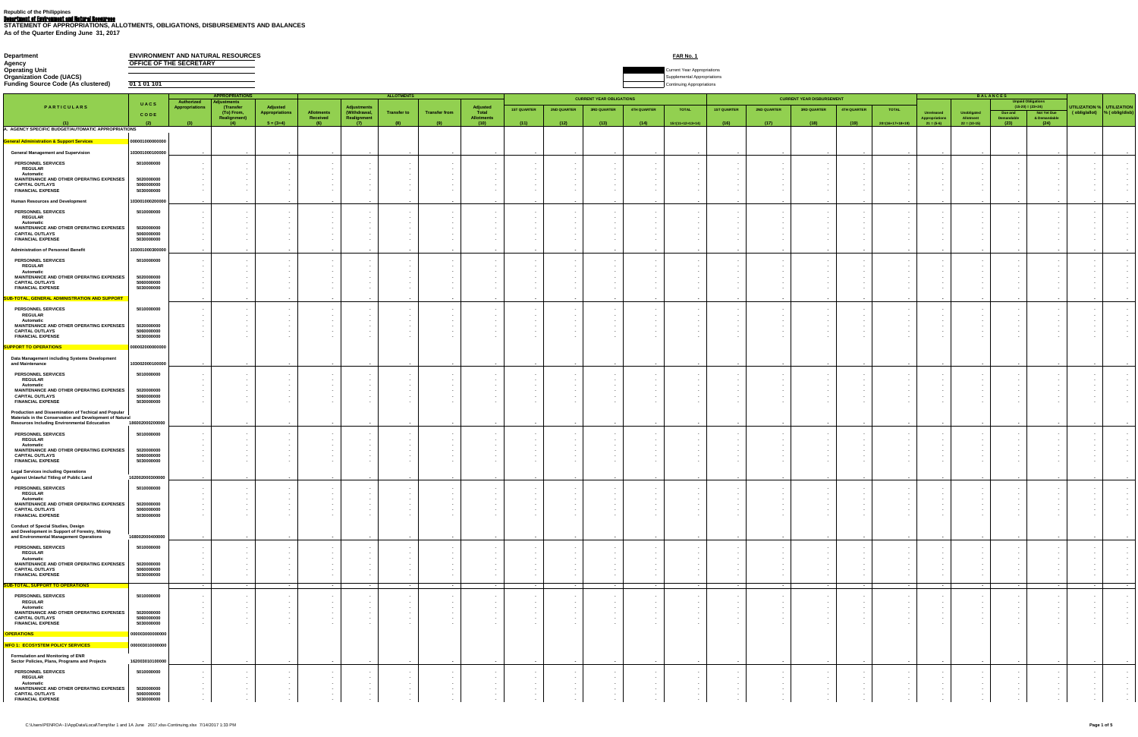Department of Environment and Natural Resources **STATEMENT OF APPROPRIATIONS, ALLOTMENTS, OBLIGATIONS, DISBURSEMENTS AND BALANCES As of the Quarter Ending June 31, 2017**

# **Department**<br> **Department**<br> **Departing Unit**<br> **Departing Unit**<br> **Departing Unit OFFICE OF THE SECRETARY**

**Current Year Appropriations** 

**Companization Code (UACS)** Supplemental Appropriations

**Funding Source Code (As clustered) 01 1 01 101** Continuing Appropriations

|                                                                                                                         |                          |                                                  |                                                |                                        | <b>APPROPRIATIONS</b><br><b>Authorized</b><br><b>\djustments</b> |                                            |                                                  |                                        |                                         |                                              | <b>CURRENT YEAR OBLIGATIONS</b> |                                                                                            |                                              |                                                      |                                    | <b>CURRENT YEAR DISBURSEMENT</b>                                                  |                                    |                                              |                                    |                                       | <b>BALANCES</b><br><b>Unpaid Obligations</b> |                                  |                                              |                                                      |                                                      |
|-------------------------------------------------------------------------------------------------------------------------|--------------------------|--------------------------------------------------|------------------------------------------------|----------------------------------------|------------------------------------------------------------------|--------------------------------------------|--------------------------------------------------|----------------------------------------|-----------------------------------------|----------------------------------------------|---------------------------------|--------------------------------------------------------------------------------------------|----------------------------------------------|------------------------------------------------------|------------------------------------|-----------------------------------------------------------------------------------|------------------------------------|----------------------------------------------|------------------------------------|---------------------------------------|----------------------------------------------|----------------------------------|----------------------------------------------|------------------------------------------------------|------------------------------------------------------|
| PARTICULARS                                                                                                             | UACS                     | Appropriations                                   | (Transfer<br>(To) From,                        | Adjusted<br>Appropriations             | <b>Allotments</b>                                                | <b>Adjustments</b><br>(Withdrawal,         | <b>Transfer to</b>                               | <b>Transfer from</b>                   | Adjusted<br>Total                       | <b>1ST QUARTER</b>                           | <b>2ND QUARTER</b>              | <b>3RD QUARTER</b>                                                                         | 4TH QUARTER                                  | <b>TOTAL</b>                                         | <b>1ST QUARTER</b>                 | <b>2ND QUARTER</b>                                                                | <b>3RD QUARTER</b>                 | <b>4TH QUARTER</b>                           | <b>TOTAL</b>                       | <b>Unreleased</b>                     | Unobligated                                  | Due and                          | $(15-20) = (23+24)$<br>Not Yet Due           | UTILIZATION % UTILIZATION<br>(oblig/allot)           | $\sqrt{\%}$ (oblig/disb)                             |
|                                                                                                                         | CODE                     |                                                  | <b>Realignment)</b><br>$\mathbf{A}$            |                                        | Received                                                         | Realignment                                | (8)                                              |                                        | <b>Allotments</b>                       |                                              |                                 |                                                                                            |                                              | $15=(11+12+13+14)$                                   |                                    |                                                                                   |                                    | (19)                                         | $20=(16+17+18+19)$                 | Appropriations<br>$21 = (5-6)$        | Allotment<br>$22 = (10-15)$                  | Demandable                       | & Demandable                                 |                                                      |                                                      |
| A. AGENCY SPECIFIC BUDGET/AUTOMATIC APPROPRIATIONS                                                                      |                          |                                                  |                                                | $5 = (3+4)$                            |                                                                  |                                            |                                                  |                                        | (10)                                    | (11)                                         | (12)                            | (13)                                                                                       | (14)                                         |                                                      | (16)                               | (17)                                                                              | (18)                               |                                              |                                    |                                       |                                              | (23)                             | (24)                                         |                                                      |                                                      |
| <b>General Administration &amp; Support Services</b>                                                                    | 000001000000000          |                                                  |                                                |                                        |                                                                  |                                            |                                                  |                                        |                                         |                                              |                                 |                                                                                            |                                              |                                                      |                                    |                                                                                   |                                    |                                              |                                    |                                       |                                              |                                  |                                              |                                                      |                                                      |
| <b>General Management and Supervision</b>                                                                               | 103001000100000          |                                                  |                                                |                                        | $\sim$                                                           |                                            |                                                  |                                        |                                         |                                              | $\sim$                          | $\sim$ $\sim$ $\sim$                                                                       | $\sim$ $\sim$                                | <b>Service</b>                                       | $\sim$ $\sim$                      | $\sim$ $\sim$                                                                     | $\sim$ $\sim$                      |                                              | <b>Service</b>                     | <b>Service</b>                        |                                              | $\sim$ $\sim$                    | $\sim$ $\sim$                                | <b>Contract Contract</b>                             |                                                      |
| <b>PERSONNEL SERVICES</b>                                                                                               | 5010000000               |                                                  |                                                |                                        |                                                                  |                                            |                                                  |                                        |                                         |                                              |                                 |                                                                                            |                                              |                                                      | $\sim$ $-$                         | $\sim$ $-$                                                                        |                                    |                                              |                                    |                                       |                                              |                                  |                                              |                                                      |                                                      |
| <b>REGULAR</b>                                                                                                          |                          |                                                  |                                                |                                        |                                                                  |                                            |                                                  |                                        |                                         |                                              |                                 |                                                                                            |                                              |                                                      |                                    |                                                                                   |                                    |                                              |                                    |                                       |                                              |                                  |                                              |                                                      |                                                      |
| <b>Automatic</b><br>MAINTENANCE AND OTHER OPERATING EXPENSES                                                            | 5020000000               |                                                  |                                                |                                        |                                                                  |                                            |                                                  |                                        |                                         |                                              |                                 |                                                                                            |                                              |                                                      | $\sim$                             |                                                                                   |                                    |                                              |                                    |                                       |                                              |                                  |                                              |                                                      |                                                      |
| <b>CAPITAL OUTLAYS</b><br><b>FINANCIAL EXPENSE</b>                                                                      | 5060000000<br>5030000000 |                                                  |                                                |                                        |                                                                  |                                            |                                                  |                                        |                                         |                                              |                                 |                                                                                            |                                              |                                                      |                                    |                                                                                   |                                    |                                              |                                    |                                       |                                              |                                  |                                              |                                                      |                                                      |
| <b>Human Resources and Development</b>                                                                                  | 103001000200000          |                                                  | $\sim$ $\sim$                                  | $\sim$ $\sim$                          |                                                                  |                                            | $\sim$ $\sim$ $\sim$                             |                                        |                                         | $\sim$ $\sim$                                | <b>Service</b>                  |                                                                                            | $\sim$ $\sim$                                |                                                      | $\sim$ $\sim$                      | $\sim$                                                                            | $\sim$                             | <b>Contract Contract</b>                     | $\sim$ $\sim$                      | $\sim$ $\sim$                         | $\sim$ $\sim$                                | $\sim$ $\sim$ $\sim$             | $\sim$ $\sim$                                | <b>Contract Contract</b>                             |                                                      |
| <b>PERSONNEL SERVICES</b>                                                                                               | 5010000000               |                                                  |                                                |                                        |                                                                  |                                            |                                                  |                                        |                                         |                                              |                                 |                                                                                            |                                              |                                                      | $\sim$                             |                                                                                   |                                    |                                              |                                    |                                       |                                              |                                  |                                              |                                                      |                                                      |
| <b>REGULAR</b><br><b>Automatic</b>                                                                                      |                          |                                                  |                                                |                                        |                                                                  |                                            |                                                  |                                        |                                         |                                              |                                 |                                                                                            |                                              |                                                      |                                    |                                                                                   |                                    |                                              |                                    |                                       |                                              |                                  |                                              |                                                      |                                                      |
| <b>MAINTENANCE AND OTHER OPERATING EXPENSES</b><br><b>CAPITAL OUTLAYS</b>                                               | 5020000000<br>5060000000 |                                                  |                                                |                                        |                                                                  |                                            |                                                  |                                        |                                         |                                              |                                 |                                                                                            |                                              |                                                      | $\sim$<br>$\sim$                   |                                                                                   |                                    |                                              |                                    |                                       |                                              |                                  |                                              |                                                      |                                                      |
| <b>FINANCIAL EXPENSE</b>                                                                                                | 5030000000               |                                                  |                                                |                                        |                                                                  |                                            |                                                  |                                        |                                         |                                              |                                 |                                                                                            |                                              |                                                      |                                    |                                                                                   |                                    |                                              |                                    |                                       |                                              |                                  |                                              |                                                      |                                                      |
| <b>Administration of Personnel Benefit</b>                                                                              | 103001000300000          |                                                  | $\sim$ $\sim$                                  | $\sim$ 100 $\sim$ 100 $\sim$           | $\sim$                                                           | $\sim$                                     | <b>Service Contract</b>                          | $\sim$ 100 $\pm$                       | <b>Contract Contract</b>                | $\sim$ $\sim$                                | $\sim$ $\sim$                   | $\sim$ $\sim$                                                                              | $\sim$ $\sim$                                | $\sim$ 100 $\sim$                                    | $\sim$ $\sim$                      | $\sim$ $\sim$                                                                     | <b>Contract Contract</b>           | <b>Service Contracts</b>                     | <b>Contract Contract</b>           | $\sim$ $\sim$                         |                                              | $\sim$ $\sim$                    | $\sim$ $\sim$                                | $\sim$ 100 $\sim$                                    |                                                      |
| <b>PERSONNEL SERVICES</b>                                                                                               | 5010000000               |                                                  |                                                |                                        |                                                                  |                                            |                                                  |                                        | $\sim$                                  |                                              |                                 |                                                                                            |                                              |                                                      | $\sim 100$                         |                                                                                   |                                    |                                              |                                    |                                       |                                              |                                  |                                              |                                                      |                                                      |
| <b>REGULAR</b><br><b>Automatic</b>                                                                                      |                          |                                                  |                                                |                                        |                                                                  |                                            |                                                  |                                        |                                         |                                              |                                 |                                                                                            |                                              |                                                      |                                    |                                                                                   |                                    |                                              |                                    |                                       |                                              |                                  |                                              |                                                      |                                                      |
| MAINTENANCE AND OTHER OPERATING EXPENSES<br><b>CAPITAL OUTLAYS</b>                                                      | 5020000000<br>5060000000 |                                                  |                                                |                                        |                                                                  |                                            |                                                  |                                        |                                         |                                              |                                 |                                                                                            |                                              |                                                      |                                    |                                                                                   |                                    |                                              |                                    |                                       |                                              |                                  |                                              |                                                      |                                                      |
| <b>FINANCIAL EXPENSE</b>                                                                                                | 5030000000<br>$-$        |                                                  |                                                |                                        |                                                                  |                                            |                                                  |                                        |                                         |                                              |                                 |                                                                                            |                                              |                                                      |                                    |                                                                                   |                                    |                                              |                                    |                                       |                                              |                                  |                                              |                                                      |                                                      |
| SUB-TOTAL, GENERAL ADMINISTRATION AND SUPPORT                                                                           |                          |                                                  |                                                |                                        |                                                                  |                                            |                                                  |                                        | $\sim$ $\sim$                           |                                              | $\sim$ $\sim$                   |                                                                                            | $\sim$ $\sim$                                | $\sim$ $\sim$ $\sim$                                 | $\sim$ $\sim$                      | $\sim$ $\sim$                                                                     | $\sim$ $\sim$                      | <b>Service Contract Contract</b>             |                                    | $\sim$ $\sim$                         |                                              | $\sim$ $\sim$ $\sim$             |                                              | <b>Contract Contract</b>                             |                                                      |
| <b>PERSONNEL SERVICES</b><br><b>REGULAR</b>                                                                             | 5010000000               |                                                  |                                                |                                        |                                                                  |                                            |                                                  |                                        | $\sim$<br>$\sim$                        |                                              |                                 |                                                                                            |                                              |                                                      | $\sim$<br>$\sim$ 100 $\pm$         | $\sim$ $-$                                                                        |                                    |                                              |                                    |                                       |                                              |                                  |                                              |                                                      |                                                      |
| <b>Automatic</b><br>MAINTENANCE AND OTHER OPERATING EXPENSES                                                            | 5020000000               |                                                  |                                                |                                        |                                                                  |                                            |                                                  |                                        | $\sim$<br>$\sim$                        |                                              |                                 |                                                                                            |                                              |                                                      | $\sim$ $-$<br>$\sim$ $-$           |                                                                                   |                                    |                                              |                                    |                                       |                                              |                                  |                                              |                                                      |                                                      |
| <b>CAPITAL OUTLAYS</b><br><b>FINANCIAL EXPENSE</b>                                                                      | 5060000000<br>5030000000 |                                                  |                                                |                                        |                                                                  |                                            |                                                  |                                        | $\sim$                                  |                                              |                                 |                                                                                            |                                              |                                                      | $\sim$                             |                                                                                   |                                    |                                              |                                    |                                       |                                              |                                  |                                              |                                                      |                                                      |
| SUPPORT TO OPERATIONS                                                                                                   | 000002000000000          |                                                  |                                                |                                        |                                                                  |                                            |                                                  |                                        |                                         |                                              |                                 |                                                                                            |                                              |                                                      |                                    |                                                                                   |                                    |                                              |                                    |                                       |                                              |                                  |                                              |                                                      |                                                      |
| Data Management including Systems Development                                                                           |                          |                                                  |                                                |                                        |                                                                  |                                            |                                                  |                                        |                                         |                                              |                                 |                                                                                            |                                              |                                                      |                                    |                                                                                   |                                    |                                              |                                    |                                       |                                              |                                  |                                              |                                                      |                                                      |
| and Maintenance                                                                                                         | 103002000100000          |                                                  | $\sim$ $\sim$                                  |                                        |                                                                  |                                            | $\sim 100$ m $^{-1}$                             | <b>Contract Contract</b>               | <b>Contract Contract</b>                | $\sim$ $\sim$                                | <b>Contract Contract</b>        | $\sim$ $-$                                                                                 | $\sim$ $-$                                   | <b>Contract Contract</b>                             | $\sim$ $-$                         | $\sim$ 100 $\sim$                                                                 | <b>Contract Contract</b>           | <b>State State</b>                           | <b>Contract Contract</b>           | $\sim$ $\sim$                         |                                              | $\sim$ $\sim$                    | $\sim$ $\sim$                                | $\sim 100$ km s $^{-1}$                              |                                                      |
| <b>PERSONNEL SERVICES</b><br><b>REGULAR</b>                                                                             | 5010000000               |                                                  |                                                |                                        |                                                                  |                                            |                                                  |                                        |                                         |                                              |                                 |                                                                                            |                                              |                                                      |                                    |                                                                                   |                                    |                                              |                                    |                                       |                                              |                                  |                                              |                                                      |                                                      |
| <b>Automatic</b><br>MAINTENANCE AND OTHER OPERATING EXPENSES                                                            | 5020000000               |                                                  |                                                |                                        |                                                                  |                                            |                                                  |                                        |                                         |                                              |                                 |                                                                                            |                                              |                                                      |                                    |                                                                                   |                                    |                                              |                                    |                                       |                                              |                                  |                                              |                                                      |                                                      |
| <b>CAPITAL OUTLAYS</b>                                                                                                  | 5060000000               |                                                  |                                                |                                        |                                                                  |                                            |                                                  |                                        | $\sim$                                  |                                              |                                 |                                                                                            |                                              |                                                      | $\sim$ 100 $\pm$                   | $\sim$ $-$                                                                        |                                    |                                              |                                    |                                       |                                              |                                  |                                              |                                                      |                                                      |
| <b>FINANCIAL EXPENSE</b>                                                                                                | 5030000000               |                                                  |                                                |                                        |                                                                  |                                            |                                                  |                                        |                                         |                                              |                                 |                                                                                            |                                              |                                                      |                                    |                                                                                   |                                    |                                              |                                    |                                       |                                              |                                  |                                              |                                                      |                                                      |
| <b>Production and Dissemination of Techical and Popular</b><br>Materials in the Conservation and Development of Natural |                          |                                                  |                                                |                                        |                                                                  |                                            |                                                  |                                        |                                         |                                              |                                 |                                                                                            |                                              |                                                      |                                    |                                                                                   |                                    |                                              |                                    |                                       |                                              |                                  |                                              |                                                      |                                                      |
| <b>Resources Including Environmental Edcucation</b>                                                                     | 186002000200000          |                                                  |                                                |                                        |                                                                  |                                            |                                                  |                                        | $\sim 100$ m $^{-1}$                    |                                              | $\sim$ 100 $\pm$                | $\sim$ $\sim$                                                                              | $\sim$ $\sim$                                | $\sim$ $\sim$ $\sim$                                 | $\sim$                             | $\sim$ 100 $\pm$                                                                  | $\sim 100$                         | $\sim$ 100 $\sim$ 100 $\sim$                 | $\sim$ 100 $\pm$                   | $\sim$ $\sim$                         |                                              | $\sim$ $-$                       | $\sim$ $\sim$                                | $\sim$ 100 $\pm$                                     |                                                      |
| <b>PERSONNEL SERVICES</b><br><b>REGULAR</b>                                                                             | 5010000000               |                                                  |                                                |                                        |                                                                  |                                            |                                                  |                                        |                                         |                                              |                                 |                                                                                            |                                              |                                                      |                                    |                                                                                   |                                    |                                              |                                    |                                       |                                              |                                  |                                              |                                                      |                                                      |
| <b>Automatic</b><br>MAINTENANCE AND OTHER OPERATING EXPENSES                                                            | 5020000000               |                                                  |                                                |                                        |                                                                  |                                            |                                                  |                                        |                                         |                                              |                                 |                                                                                            |                                              |                                                      |                                    |                                                                                   |                                    |                                              |                                    |                                       |                                              |                                  |                                              |                                                      |                                                      |
| <b>CAPITAL OUTLAYS</b><br><b>FINANCIAL EXPENSE</b>                                                                      | 5060000000<br>5030000000 |                                                  |                                                |                                        |                                                                  |                                            |                                                  |                                        |                                         |                                              |                                 |                                                                                            |                                              |                                                      |                                    |                                                                                   |                                    |                                              |                                    |                                       |                                              |                                  |                                              |                                                      |                                                      |
| <b>Legal Services including Operations</b>                                                                              |                          |                                                  |                                                |                                        |                                                                  |                                            |                                                  |                                        |                                         |                                              |                                 |                                                                                            |                                              |                                                      |                                    |                                                                                   |                                    |                                              |                                    |                                       |                                              |                                  |                                              |                                                      |                                                      |
| <b>Against Unlawful Titling of Public Land</b>                                                                          | 162002000300000          |                                                  |                                                |                                        |                                                                  |                                            |                                                  |                                        | <b>State State</b>                      |                                              |                                 |                                                                                            |                                              |                                                      |                                    |                                                                                   | <b>Service</b>                     | <b>State Control</b>                         |                                    | $\sim$ $\sim$                         |                                              | and the state of the             | <b>Contract Contract</b>                     | <b>State State</b>                                   |                                                      |
| <b>PERSONNEL SERVICES</b><br><b>REGULAR</b>                                                                             | 5010000000               |                                                  |                                                |                                        |                                                                  |                                            |                                                  |                                        | $\sim$                                  |                                              |                                 |                                                                                            |                                              |                                                      | $\sim$ 100 $\pm$                   | $\sim$ $-$                                                                        |                                    |                                              |                                    |                                       |                                              |                                  |                                              |                                                      |                                                      |
| <b>Automatic</b><br>MAINTENANCE AND OTHER OPERATING EXPENSES                                                            | 5020000000               |                                                  |                                                |                                        |                                                                  |                                            |                                                  |                                        | $\sim$                                  |                                              |                                 |                                                                                            |                                              |                                                      | $\sim$                             |                                                                                   |                                    |                                              |                                    |                                       |                                              |                                  |                                              |                                                      |                                                      |
| <b>CAPITAL OUTLAYS</b><br><b>FINANCIAL EXPENSE</b>                                                                      | 5060000000<br>5030000000 |                                                  |                                                |                                        |                                                                  |                                            |                                                  |                                        | $\sim$ $-$                              |                                              |                                 |                                                                                            |                                              |                                                      | $\sim 100$                         | $\sim$ 100 $\pm$                                                                  |                                    |                                              |                                    | $\sim$ $\sim$                         |                                              | $\sim$                           |                                              |                                                      |                                                      |
| <b>Conduct of Special Studies, Design</b>                                                                               |                          |                                                  |                                                |                                        |                                                                  |                                            |                                                  |                                        |                                         |                                              |                                 |                                                                                            |                                              |                                                      |                                    |                                                                                   |                                    |                                              |                                    |                                       |                                              |                                  |                                              |                                                      |                                                      |
| and Development in Support of Forestry, Mining<br>and Environmental Management Operations                               | 168002000400000          |                                                  |                                                |                                        |                                                                  |                                            |                                                  |                                        | <b>State State</b>                      |                                              | $\sim$                          |                                                                                            |                                              | $\sim$ $\sim$                                        | $\sim$ $\sim$                      | $\sim$                                                                            | $\sim$                             | <b>Contract Contract</b>                     | $\sim$ $\sim$                      | $\sim$ $\sim$                         |                                              | $\sim$ $\sim$                    | $\sim$ 100 $\sim$                            | <b>Service</b>                                       |                                                      |
| <b>PERSONNEL SERVICES</b>                                                                                               | 5010000000               |                                                  |                                                |                                        |                                                                  |                                            |                                                  |                                        |                                         |                                              |                                 |                                                                                            |                                              |                                                      | $\sim$                             |                                                                                   |                                    |                                              |                                    |                                       |                                              |                                  |                                              |                                                      |                                                      |
| <b>REGULAR</b><br><b>Automatic</b>                                                                                      |                          |                                                  |                                                |                                        |                                                                  |                                            |                                                  |                                        |                                         |                                              |                                 |                                                                                            |                                              |                                                      |                                    |                                                                                   |                                    |                                              |                                    |                                       |                                              |                                  |                                              |                                                      |                                                      |
| MAINTENANCE AND OTHER OPERATING EXPENSES                                                                                | 5020000000               |                                                  |                                                |                                        |                                                                  |                                            |                                                  |                                        |                                         |                                              |                                 |                                                                                            |                                              |                                                      |                                    |                                                                                   |                                    |                                              |                                    |                                       |                                              |                                  |                                              |                                                      |                                                      |
| <b>CAPITAL OUTLAYS</b><br><b>FINANCIAL EXPENSE</b>                                                                      | 5060000000<br>5030000000 |                                                  |                                                |                                        |                                                                  |                                            |                                                  |                                        | $\sim$ $-$<br>$\sim$ $-$                |                                              |                                 |                                                                                            |                                              |                                                      | $\sim 100$<br>$\sim 100$ m $^{-1}$ | <b>Contract Contract</b><br>$\sim 100$                                            | $\sim$ $-$<br>$\sim$               |                                              |                                    |                                       |                                              | $\sim$<br>$\sim$                 |                                              |                                                      |                                                      |
| SUB-TOTAL, SUPPORT TO OPERATIONS                                                                                        |                          | $\sim$ $\sim$                                    | $\sim$ $\sim$                                  | $\sim$ $\sim$                          | $\sim$                                                           | $\sim$ $\sim$                              | <b>Service Contract</b>                          | $\sim$ $\sim$                          | <b>Contract Contract</b>                |                                              | $\sim$ $\sim$                   | <b>Service Contract</b>                                                                    | $\sim$ $\sim$ $\sim$                         | <b>Contract Contract Contract</b>                    | <b>Service</b>                     | $\sim$ $\sim$                                                                     | $\sim 100$ m $^{-1}$ m $^{-1}$     | <b>Service Contracts</b>                     | <b>Service</b>                     | $\sim$ $\sim$ $\sim$                  | <b>State State</b>                           | $\sim$ $\sim$                    | $\sim$ $\sim$                                | <b>Contract Contract</b>                             |                                                      |
| <b>PERSONNEL SERVICES</b>                                                                                               | 5010000000               |                                                  |                                                |                                        |                                                                  |                                            |                                                  |                                        | $\sim$ 100 $\pm$                        |                                              |                                 |                                                                                            |                                              |                                                      | $\sim 100$                         |                                                                                   |                                    |                                              |                                    |                                       |                                              |                                  |                                              |                                                      |                                                      |
| <b>REGULAR</b><br><b>Automatic</b>                                                                                      |                          |                                                  |                                                |                                        |                                                                  |                                            |                                                  |                                        | $\sim$                                  |                                              |                                 |                                                                                            |                                              |                                                      | $\sim$                             |                                                                                   |                                    |                                              |                                    |                                       |                                              |                                  |                                              |                                                      |                                                      |
| MAINTENANCE AND OTHER OPERATING EXPENSES<br><b>CAPITAL OUTLAYS</b>                                                      | 5020000000<br>5060000000 |                                                  |                                                |                                        |                                                                  |                                            |                                                  |                                        |                                         |                                              |                                 |                                                                                            |                                              |                                                      |                                    |                                                                                   |                                    |                                              |                                    |                                       |                                              |                                  |                                              |                                                      |                                                      |
| <b>FINANCIAL EXPENSE</b>                                                                                                | 5030000000               |                                                  |                                                |                                        |                                                                  |                                            |                                                  |                                        |                                         |                                              |                                 |                                                                                            |                                              |                                                      |                                    |                                                                                   |                                    |                                              |                                    |                                       |                                              |                                  |                                              |                                                      |                                                      |
| <b>OPERATIONS</b>                                                                                                       | 000003000000000          |                                                  |                                                |                                        |                                                                  |                                            |                                                  |                                        |                                         |                                              |                                 |                                                                                            |                                              |                                                      |                                    |                                                                                   |                                    |                                              |                                    |                                       |                                              |                                  |                                              |                                                      |                                                      |
| MFO 1: ECOSYSTEM POLICY SERVICES                                                                                        | 000003010000000          |                                                  |                                                |                                        |                                                                  |                                            |                                                  |                                        |                                         |                                              |                                 |                                                                                            |                                              |                                                      |                                    |                                                                                   |                                    |                                              |                                    |                                       |                                              |                                  |                                              |                                                      |                                                      |
| <b>Formulation and Monitoring of ENR</b><br>Sector Policies, Plans, Programs and Projects                               | 162003010100000          |                                                  |                                                |                                        |                                                                  |                                            |                                                  |                                        | $\sim$ $\sim$                           |                                              |                                 |                                                                                            |                                              |                                                      | $\sim$ $\sim$                      | $\sim$ $\sim$                                                                     | $\sim$                             | $\sim$ $\sim$                                | $\sim$                             | $\sim$ $\sim$                         |                                              | $\sim$ $\sim$                    |                                              | $\sim$ $\sim$                                        |                                                      |
| <b>PERSONNEL SERVICES</b>                                                                                               | 5010000000               |                                                  |                                                |                                        |                                                                  |                                            |                                                  |                                        | $\sim$                                  |                                              |                                 |                                                                                            |                                              |                                                      |                                    |                                                                                   |                                    |                                              |                                    |                                       |                                              |                                  |                                              |                                                      |                                                      |
| <b>REGULAR</b><br><b>Automatic</b>                                                                                      |                          |                                                  |                                                |                                        |                                                                  |                                            |                                                  |                                        |                                         |                                              |                                 |                                                                                            |                                              |                                                      |                                    |                                                                                   |                                    |                                              |                                    |                                       |                                              |                                  |                                              |                                                      | <b>Contract Contract Contract</b>                    |
| MAINTENANCE AND OTHER OPERATING EXPENSES<br><b>CAPITAL OUTLAYS</b>                                                      | 5020000000<br>5060000000 | <b>Contract Contract</b><br>$\sim 100$ m $^{-1}$ | <b>Contract Contract</b><br><b>State State</b> | $\sim$ $-$<br><b>Contract Contract</b> | <b>Contract Contract</b><br><b>State State</b>                   | <b>Service</b><br><b>Contract Contract</b> | <b>Service</b> State<br><b>Contract Contract</b> | $\sim 100$ m $^{-1}$<br>$\sim$ 100 $-$ | <b>Contract Contract</b><br>$\sim 1000$ | $\sim 100$ m $^{-1}$<br>$\sim 100$ m $^{-1}$ |                                 | <b>Contractor</b><br><b>Contract Contract</b><br><b>Contractor</b><br>$\sim 100$ m $^{-1}$ | $\sim 100$ m $^{-1}$<br>$\sim 100$ m $^{-1}$ | <b>Contract Contract</b><br><b>Contract Contract</b> |                                    | <b>State State</b><br><b>State State</b><br>$\sim 100$ m $^{-1}$<br><b>Common</b> | <b>Contractor</b><br><b>Common</b> | <b>Service</b><br>$\sim$ 100 $\pm$ 100 $\pm$ | $\sim$ $-$<br>$\sim 100$ m $^{-1}$ | <b>State State</b><br><b>Contract</b> | $\sim$ $-$<br><b>Contract Contract</b>       | <b>Common</b><br><b>Contract</b> | <b>Service</b> State<br>$\sim 100$ m $^{-1}$ | <b>Contract Contract</b><br><b>Contract Contract</b> | $\left  \begin{array}{c} 1 \\ 1 \end{array} \right $ |
| <b>FINANCIAL EXPENSE</b>                                                                                                | 5030000000               | $\sim$ 100 $\mu$                                 | $\sim 100$ m $^{-1}$                           |                                        |                                                                  | $\sim$ $-$                                 |                                                  |                                        | $\sim 100$                              | $\sim 100$                                   | $\sim 100$                      | $\sim 100$                                                                                 | $\sim 100$ m $^{-1}$                         |                                                      |                                    | $\sim 100$ km s $^{-1}$<br>$\sim 100$                                             | $\sim 100$                         |                                              |                                    | $\sim 100$ m $^{-1}$                  |                                              | $\sim 1000$ km s $^{-1}$         |                                              | $\sim 100$                                           |                                                      |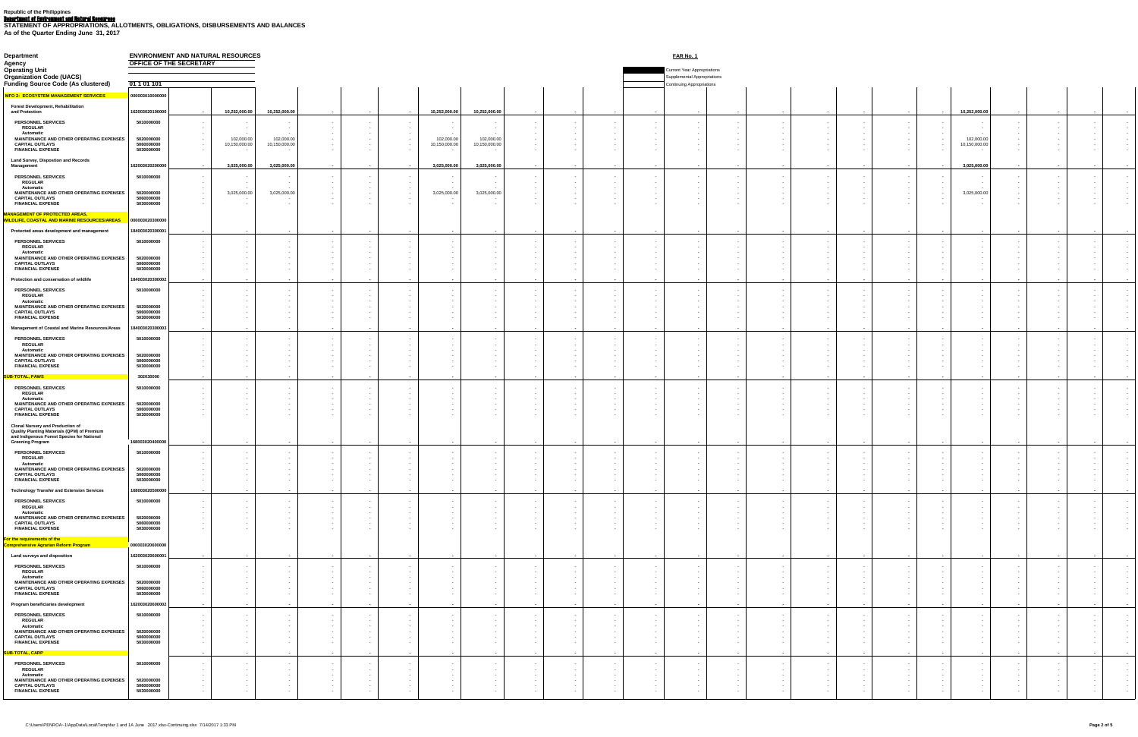Department of Environment and Natural Resources **STATEMENT OF APPROPRIATIONS, ALLOTMENTS, OBLIGATIONS, DISBURSEMENTS AND BALANCES As of the Quarter Ending June 31, 2017**

### **Department ENVIRONMENT AND NATURAL RESOURCES FAR No. 1**<br>Agency **OFFICE OF THE SECRETARY OFFICE OF THE SECRETARY**

| <b>Operating Unit</b>                                                                                                                                                  |                                                                                         |                                                                                                                   |                                       |                                                          |                                                                                   |                                |                                                        |                                                           | <b>Current Year Appropriations</b>                              |                                                          |                                |                                                               |                          |                                                                                                                            |                              |                                                                                  |
|------------------------------------------------------------------------------------------------------------------------------------------------------------------------|-----------------------------------------------------------------------------------------|-------------------------------------------------------------------------------------------------------------------|---------------------------------------|----------------------------------------------------------|-----------------------------------------------------------------------------------|--------------------------------|--------------------------------------------------------|-----------------------------------------------------------|-----------------------------------------------------------------|----------------------------------------------------------|--------------------------------|---------------------------------------------------------------|--------------------------|----------------------------------------------------------------------------------------------------------------------------|------------------------------|----------------------------------------------------------------------------------|
| <b>Organization Code (UACS)</b><br><b>Funding Source Code (As clustered)</b>                                                                                           | 01 1 01 1 01                                                                            |                                                                                                                   |                                       |                                                          |                                                                                   |                                |                                                        |                                                           | <b>Supplemental Appropriations</b><br>Continuing Appropriations |                                                          |                                |                                                               |                          |                                                                                                                            |                              |                                                                                  |
| <b>MFO 2: ECOSYSTEM MANAGEMENT SERVICES</b>                                                                                                                            | 000003010000000                                                                         |                                                                                                                   |                                       |                                                          |                                                                                   |                                |                                                        |                                                           |                                                                 |                                                          |                                |                                                               |                          |                                                                                                                            |                              |                                                                                  |
| <b>Forest Development, Rehabilitation</b><br>and Protection                                                                                                            | 162003020100000                                                                         | 10,252,000.00                                                                                                     | 10,252,000.00                         |                                                          | 10,252,000.00<br>$\sim$ $\sim$                                                    | 10,252,000.00                  | $\sim$                                                 | $\sim$ $\sim$                                             |                                                                 | $\sim$                                                   | $\sim$                         | $\sim$ $\sim$<br>$\sim$ $\sim$                                | $\sim$                   | 10,252,000.00<br>$\sim$ $\sim$                                                                                             |                              | $\sim$ 100 $\pm$<br>$\sim$ $\sim$                                                |
| <b>PERSONNEL SERVICES</b><br><b>REGULAR</b>                                                                                                                            | 5010000000                                                                              |                                                                                                                   |                                       |                                                          |                                                                                   |                                |                                                        | $\sim$ $-$                                                |                                                                 | $\sim 100$<br>$\sim$ 100 $\pm$                           |                                |                                                               |                          | $\sim$ 100 $\mu$<br>$\sim$ $\sim$<br>$\sim$ $\sim$<br>$\sim$                                                               |                              | <b>Contract Contract</b>                                                         |
| <b>Automatic</b><br><b>MAINTENANCE AND OTHER OPERATING EXPENSES</b><br><b>CAPITAL OUTLAYS</b><br><b>FINANCIAL EXPENSE</b>                                              | 5020000000<br>5060000000<br>5030000000                                                  | $\sim$<br>102,000.00<br><b>Contract Contract</b><br>10,150,000.00<br><b>Contract Contract</b><br>$\sim$ 100 $\pm$ | $\sim$<br>102,000.00<br>10,150,000.00 |                                                          | $\sim$<br>102,000.00<br>$\sim$ $-$<br>10,150,000.00<br>$\sim$ 100 $\pm$<br>$\sim$ | 102,000.00<br>10,150,000.00    |                                                        | $\sim$                                                    |                                                                 | $\sim$ $ \sim$<br>$\sim 100$<br>$\sim 100$<br>$\sim 100$ |                                | $\sim$                                                        | $\sim$                   | $\sim$<br>$\sim$ $-$<br>102,000.00<br>$\sim$<br>10,150,000.00<br><b>Contract Contract</b><br>$\sim$ $-$                    |                              | - - 1<br>- - 1<br>. <b>.</b><br><b>Contract Contract</b>                         |
| <b>Land Survey, Dispostion and Records</b><br><b>Management</b>                                                                                                        | 162003020200000                                                                         | 3,025,000.00<br>$\sim$ $\sim$                                                                                     | 3,025,000.0                           | <b>Service</b> Construction<br>$\sim$ $\sim$             | 3,025,000.00<br><b>Contract Contract</b>                                          | 3,025,000.00                   | $\sim$ $\sim$<br>$\sim$ $\sim$                         | <b>Contract Contract Contract</b><br>$\sim$ $\sim$ $\sim$ | <b>Service Contracts</b>                                        | <b>Service Contract Service</b>                          | $\sim$ 100 $\sim$ 100 $\sim$   | <b>Contract Contract</b><br><b>Contract Contract Contract</b> | <b>Contract Contract</b> | 3,025,000.00<br><b>Contract Contract</b><br>$\sim$ $\sim$                                                                  |                              | $\sim$ $\sim$<br>$\sim$ $\sim$                                                   |
| <b>PERSONNEL SERVICES</b><br><b>REGULAR</b>                                                                                                                            | 5010000000                                                                              | $\sim$ 100 $\sim$<br><b>Contract Contract State</b>                                                               | <b>State State</b>                    |                                                          | $\sim$<br><b>Service</b><br>$\sim$ $\sim$                                         | $\sim$ $-$                     | $\sim$<br>$\sim$ $-$                                   | $\sim$ 100 $\pm$<br><b>Contract Contract</b>              |                                                                 | $\sim$ 100 $\pm$<br>$\sim 100$                           |                                | $\sim$<br>$\sim$ $-$                                          |                          | $\sim$ 100 $\mu$<br>$\sim$<br>$\sim$ $\sim$<br><b>Contract Contract</b><br>$\sim$ $-$<br><b>Service</b>                    |                              | . <b>.</b><br>- - 1                                                              |
| <b>Automatic</b><br>MAINTENANCE AND OTHER OPERATING EXPENSES<br><b>CAPITAL OUTLAYS</b><br><b>FINANCIAL EXPENSE</b>                                                     | 5020000000<br>5060000000<br>5030000000                                                  | <b>Contract Contract</b><br>$\sim$ 100 $\pm$<br>3,025,000.00<br>$\sim 100$<br>$\sim 100$                          | $\sim 100$<br>3,025,000.00            |                                                          | $\sim$<br><b>Contract Contract</b><br>3,025,000.00<br>$\sim$                      | $\sim$ $-$<br>3,025,000.00     |                                                        | $\sim$<br>$\sim$ $-$<br>$\sim$                            |                                                                 | $\sim 100$<br>$\sim 100$<br>$\sim 100$                   |                                | - -                                                           |                          | $\sim$ $-$<br><b>Contract Contract</b><br>$\sim$<br>3,025,000.00<br>$\sim 100$<br>$\sim$ 100 $\mu$<br>$\sim$               |                              | $\sim 10^{-10}$<br>$\sim$ $-$<br>$\sim 10^{-11}$<br>$\sim$                       |
| <b>MANAGEMENT OF PROTECTED AREAS,</b><br><b>WILDLIFE, COASTAL AND MARINE RESOURCES/ARE</b>                                                                             | 000003020300000                                                                         |                                                                                                                   |                                       |                                                          |                                                                                   |                                |                                                        |                                                           |                                                                 |                                                          |                                |                                                               |                          |                                                                                                                            |                              |                                                                                  |
| Protected areas development and management<br><b>PERSONNEL SERVICES</b>                                                                                                | 18400302030000<br>5010000000                                                            | $\sim$ $\sim$<br>$\sim$                                                                                           | $\sim$                                |                                                          | $\sim$ $\sim$<br>$\sim$ 100 $\pm$<br>$\sim$ $\sim$                                | $\sim$ $\sim$                  | $\sim$                                                 | $\sim$ 100 $\mu$<br>$\sim 100$                            |                                                                 | $\sim 100$                                               | $\sim$ $-$                     | $\sim$                                                        | $\sim$ $\sim$            | $\sim$ 100 $\pm$ 100 $\pm$<br>$\sim 100$ m $^{-1}$                                                                         |                              | $\sim$ 100 $\pm$ 100 $\pm$<br>$\sim$ $\sim$<br>. <b>.</b>                        |
| <b>REGULAR</b><br><b>Automatic</b>                                                                                                                                     | 5020000000                                                                              |                                                                                                                   |                                       | $\sim$ $-$                                               |                                                                                   |                                | $\sim$                                                 | $\sim$                                                    |                                                                 | $\sim$<br>$\sim$                                         |                                | - -                                                           |                          | $\sim$<br>$\sim$ $-$<br>$\sim$                                                                                             |                              | $\sim$ $ -$<br>$\sim$ $ -$<br>$\sim$ $-$                                         |
| MAINTENANCE AND OTHER OPERATING EXPENSES<br><b>CAPITAL OUTLAYS</b><br><b>FINANCIAL EXPENSE</b>                                                                         | $F^{\alpha\alpha\alpha\alpha\alpha\alpha\alpha\alpha}$<br><b>DUUUUUUU</b><br>5030000000 |                                                                                                                   |                                       |                                                          |                                                                                   |                                |                                                        |                                                           |                                                                 |                                                          |                                |                                                               |                          | $\sim$                                                                                                                     |                              | $\sim$ 100 $-$                                                                   |
| Protection and conservation of wildlife<br><b>PERSONNEL SERVICES</b><br><b>REGULAR</b>                                                                                 | 184003020300002<br>5010000000                                                           |                                                                                                                   |                                       |                                                          |                                                                                   |                                |                                                        | $\sim$ $\sim$                                             |                                                                 | $\sim$                                                   |                                |                                                               |                          | $\sim$                                                                                                                     |                              |                                                                                  |
| <b>Automatic</b><br>MAINTENANCE AND OTHER OPERATING EXPENSES<br><b>CAPITAL OUTLAYS</b><br><b>FINANCIAL EXPENSE</b>                                                     | 5020000000<br>5060000000<br>5030000000                                                  |                                                                                                                   |                                       |                                                          |                                                                                   |                                |                                                        |                                                           |                                                                 |                                                          |                                |                                                               |                          |                                                                                                                            |                              | <b>Contract Contract</b><br><b>Contract Contract</b><br><b>Contract Contract</b> |
| <b>Management of Coastal and Marine Resources/Areas</b>                                                                                                                | 8400302030000                                                                           |                                                                                                                   |                                       |                                                          |                                                                                   |                                |                                                        |                                                           |                                                                 |                                                          |                                |                                                               |                          |                                                                                                                            |                              | <b>Contractor</b>                                                                |
| <b>PERSONNEL SERVICES</b><br><b>REGULAR</b><br><b>Automatic</b>                                                                                                        | 5010000000                                                                              |                                                                                                                   |                                       |                                                          |                                                                                   |                                |                                                        |                                                           |                                                                 |                                                          |                                |                                                               |                          |                                                                                                                            |                              | <b>Contract Contract Contract</b><br><b>Contract Contract</b>                    |
| MAINTENANCE AND OTHER OPERATING EXPENSES<br><b>CAPITAL OUTLAYS</b><br><b>FINANCIAL EXPENSE</b>                                                                         | 5020000000<br>5060000000<br>5030000000                                                  |                                                                                                                   |                                       |                                                          |                                                                                   |                                |                                                        |                                                           |                                                                 |                                                          |                                |                                                               |                          |                                                                                                                            |                              | <b>Contract Contract</b><br><b>Contract Contract</b><br>$\sim 100$ m $^{-1}$     |
| <b>SUB-TOTAL, PAWS</b>                                                                                                                                                 | 302030000                                                                               |                                                                                                                   |                                       |                                                          |                                                                                   |                                | $\sim$                                                 | $\sim$ $\sim$                                             |                                                                 |                                                          |                                | $\sim$                                                        |                          | $\sim$ $\sim$                                                                                                              |                              |                                                                                  |
| <b>PERSONNEL SERVICES</b><br><b>REGULAR</b><br><b>Automatic</b>                                                                                                        | 5010000000                                                                              |                                                                                                                   |                                       |                                                          |                                                                                   |                                |                                                        |                                                           |                                                                 |                                                          |                                |                                                               |                          |                                                                                                                            |                              |                                                                                  |
| MAINTENANCE AND OTHER OPERATING EXPENSES<br><b>CAPITAL OUTLAYS</b><br><b>FINANCIAL EXPENSE</b>                                                                         | 5020000000<br>5060000000<br>5030000000                                                  |                                                                                                                   |                                       |                                                          |                                                                                   |                                |                                                        |                                                           |                                                                 | $\sim 100$                                               |                                |                                                               |                          |                                                                                                                            |                              | <b>Common</b>                                                                    |
| <b>Clonal Nursery and Production of</b><br><b>Quality Planting Materials (QPM) of Premium</b><br>and Indigenous Forest Species for National<br><b>Greening Program</b> | 168003020400000                                                                         |                                                                                                                   |                                       |                                                          |                                                                                   |                                |                                                        |                                                           |                                                                 |                                                          |                                |                                                               |                          |                                                                                                                            |                              |                                                                                  |
| <b>PERSONNEL SERVICES</b><br><b>REGULAR</b><br><b>Automatic</b>                                                                                                        | 5010000000                                                                              |                                                                                                                   |                                       |                                                          |                                                                                   |                                |                                                        |                                                           |                                                                 |                                                          |                                |                                                               |                          |                                                                                                                            |                              |                                                                                  |
| MAINTENANCE AND OTHER OPERATING EXPENSES<br><b>CAPITAL OUTLAYS</b><br><b>FINANCIAL EXPENSE</b>                                                                         | 5020000000<br>5060000000<br>5030000000                                                  |                                                                                                                   |                                       |                                                          |                                                                                   |                                |                                                        |                                                           |                                                                 |                                                          |                                |                                                               |                          |                                                                                                                            |                              | $\sim$ $-$                                                                       |
| <b>Technology Transfer and Extension Services</b><br><b>PERSONNEL SERVICES</b>                                                                                         | 168003020500000<br>5010000000                                                           | $\sim$ $-$<br>$\sim$ 100 $\sim$                                                                                   | $\sim$<br>$\sim$ $-$                  | $\sim$ $\sim$<br>$\sim$ $\sim$                           | $\sim$ $-$<br><b>Service</b> State<br>$\sim 100$                                  | <b>Contract Contract State</b> | <b>Contract Contract</b><br>$\sim$ $\sim$              | $\sim 100$ m $^{-1}$<br>$\sim$ $\sim$<br><b>Service</b>   | $\sim$ $\sim$                                                   | $\sim$ 100 $\pm$<br>$\sim 100$                           | $\sim$ $\sim$ $\sim$           | <b>Service Contract Contract</b><br><b>Contract Contract</b>  | $\sim$ $\sim$            | $\sim$ $-$<br>$\sim 100$ m $^{-1}$<br><b>Service</b> Construction<br>$\sim$ $-$<br>$\sim$                                  |                              | $\sim$ 100 $\pm$<br>$\sim$ 100 $\pm$                                             |
| <b>REGULAR</b><br><b>Automatic</b><br>MAINTENANCE AND OTHER OPERATING EXPENSES<br><b>CAPITAL OUTLAYS</b>                                                               | 5020000000<br>5060000000                                                                |                                                                                                                   |                                       |                                                          |                                                                                   |                                |                                                        |                                                           |                                                                 | $\sim 100$                                               |                                |                                                               |                          |                                                                                                                            |                              | $\sim$                                                                           |
| <b>FINANCIAL EXPENSE</b><br>For the requirements of the<br><b>Comprehensive Agrarian Reform Program</b>                                                                | 5030000000<br>000003020600000                                                           |                                                                                                                   |                                       |                                                          |                                                                                   |                                |                                                        |                                                           |                                                                 | $\sim$ $-$                                               |                                |                                                               |                          |                                                                                                                            |                              |                                                                                  |
| <b>Land surveys and disposition</b>                                                                                                                                    | 16200302060000                                                                          | $\sim$ $\sim$<br>$\sim$                                                                                           |                                       | $\sim$ $\sim$                                            | $\sim$ $\sim$                                                                     |                                | $\sim$                                                 | $\sim$ $\sim$                                             | $\sim$ $\sim$ $\sim$                                            | $\sim$ $\sim$                                            |                                |                                                               |                          | $\sim$ $\sim$                                                                                                              |                              |                                                                                  |
| <b>PERSONNEL SERVICES</b><br><b>REGULAR</b><br><b>Automatic</b>                                                                                                        | 5010000000<br>5020000000                                                                |                                                                                                                   |                                       |                                                          |                                                                                   |                                |                                                        |                                                           |                                                                 | $\sim$                                                   |                                |                                                               |                          |                                                                                                                            |                              | $\sim$ 100 $\pm$<br>$\sim$<br>$\sim 100$                                         |
| MAINTENANCE AND OTHER OPERATING EXPENSES<br><b>CAPITAL OUTLAYS</b><br><b>FINANCIAL EXPENSE</b>                                                                         | 5060000000<br>5030000000                                                                |                                                                                                                   |                                       |                                                          |                                                                                   |                                |                                                        |                                                           |                                                                 | $\sim$ $-$                                               |                                |                                                               |                          |                                                                                                                            |                              |                                                                                  |
| Program beneficiaries development<br><b>PERSONNEL SERVICES</b>                                                                                                         | 162003020600002<br>5010000000                                                           | $\sim 100$ m $^{-1}$<br>$\sim$ $\sim$                                                                             |                                       | $\sim$ $\sim$                                            | $\sim$ $\sim$<br>$\sim$                                                           | $\sim$ $-$                     | $\sim$ $\sim$                                          | $\sim$ $\sim$<br>$\sim$ $\sim$ $\sim$<br>$\sim$ 100 $\pm$ | $\sim$ $\sim$ $\sim$                                            | $\sim$ $\sim$<br>$\sim$ $\sim$                           | $\sim$ $\sim$                  | $\sim$ $\sim$<br><b>State State</b>                           | $\sim$ $-$               | $\sim$ $-$<br>$\sim$ $\sim$<br>$\sim$ $\sim$ $\sim$                                                                        | $\sim$ $\sim$                | $\sim 100$ m $^{-1}$<br>$\sim 100$                                               |
| <b>REGULAR</b><br><b>Automatic</b><br>MAINTENANCE AND OTHER OPERATING EXPENSES<br><b>CAPITAL OUTLAYS</b>                                                               | 5020000000<br>5060000000                                                                |                                                                                                                   |                                       |                                                          |                                                                                   |                                |                                                        |                                                           |                                                                 |                                                          |                                |                                                               |                          |                                                                                                                            |                              |                                                                                  |
| <b>FINANCIAL EXPENSE</b><br>SUB-TOTAL, CARP                                                                                                                            | 5030000000                                                                              | $\sim$ $\sim$                                                                                                     |                                       |                                                          | $\sim$ $\sim$                                                                     | $\sim 100$ m $^{-1}$           | $\sim$ $\sim$                                          | <b>Contract Contract</b><br>$\sim$ $\sim$ $\sim$          | <b>Contract Contract</b>                                        | $\sim$ 100 $\sim$                                        | $\sim$ $\sim$                  | $\sim$ 100 $\sim$ 100 $\sim$<br><b>Service</b> State          | <b>Contract Contract</b> | $\sim$ $\sim$<br>$\sim$ 100 $\sim$<br><b>Service</b>                                                                       |                              | .                                                                                |
| <b>PERSONNEL SERVICES</b><br><b>REGULAR</b>                                                                                                                            | 5010000000                                                                              | $\sim$ 100 $\pm$<br>$\sim$                                                                                        | $\sim$ 100 $\pm$<br>$\sim$            | <b>Contract Contract</b><br>$\sim$ $-$<br><b>Service</b> | $\sim 100$<br>$\sim$ 100 $\pm$<br>$\sim 100$ m $^{-1}$<br>$\sim$ $-$              |                                | $\sim$ 100 $\pm$<br>$\sim$ $-$<br>$\sim$<br>$\sim$ $-$ | $\sim 100$ m $^{-1}$<br>$\sim 100$ m $^{-1}$              | $\sim$ $-$<br>$\sim$ $-$                                        | $\sim 100$ m $^{-1}$<br>$\sim 100$ m $^{-1}$             | $\sim$ 100 $\pm$<br>$\sim$ $-$ | $\sim$ 100 $\pm$<br>$\sim$                                    |                          | $\sim 100$ m $^{-1}$<br><b>Contract Contract</b><br>$\sim$ $-$<br>$\sim 100$<br>$\sim$<br><b><i><u>Participate</u></i></b> | $\sim$ $-$<br><b>Service</b> | . <b>.</b><br>$\sim$ $\sim$<br>- - 1<br>$\sim$                                   |
| <b>Automatic</b><br>MAINTENANCE AND OTHER OPERATING EXPENSES<br><b>CAPITAL OUTLAYS</b>                                                                                 | 5020000000<br>5060000000                                                                | $\sim$ $-$<br>$\sim$<br>$\sim 100$                                                                                | $\sim$ $-$                            |                                                          | $\sim$ $-$<br>$\sim$<br>$\sim$                                                    |                                | $\sim$<br>$\sim$<br>$\sim$                             | $\sim$ $-$<br>$\sim$ $-$<br>$\sim$ 100 $\pm$              |                                                                 | $\sim 100$<br>$\sim$<br>$\sim 100$                       | $\sim$                         | $\sim$ $-$                                                    | $\sim$                   | $\sim$ $-$<br>$\sim$ $-$<br>$\sim$ 100 $\pm$<br>$\sim$ $\sim$<br>$\sim$                                                    | $\sim$ $-$                   | $\sim$ $-$<br>$\sim$<br>$\sim$<br>$\sim$                                         |
| <b>FINANCIAL EXPENSE</b>                                                                                                                                               | 5030000000                                                                              | $\sim$ 100 $\pm$                                                                                                  |                                       |                                                          |                                                                                   |                                | $\sim$                                                 | $\sim$ $-$                                                |                                                                 | $\sim$ 100 $\pm$                                         |                                | $\sim$                                                        |                          | $\sim$                                                                                                                     |                              | $\sim$                                                                           |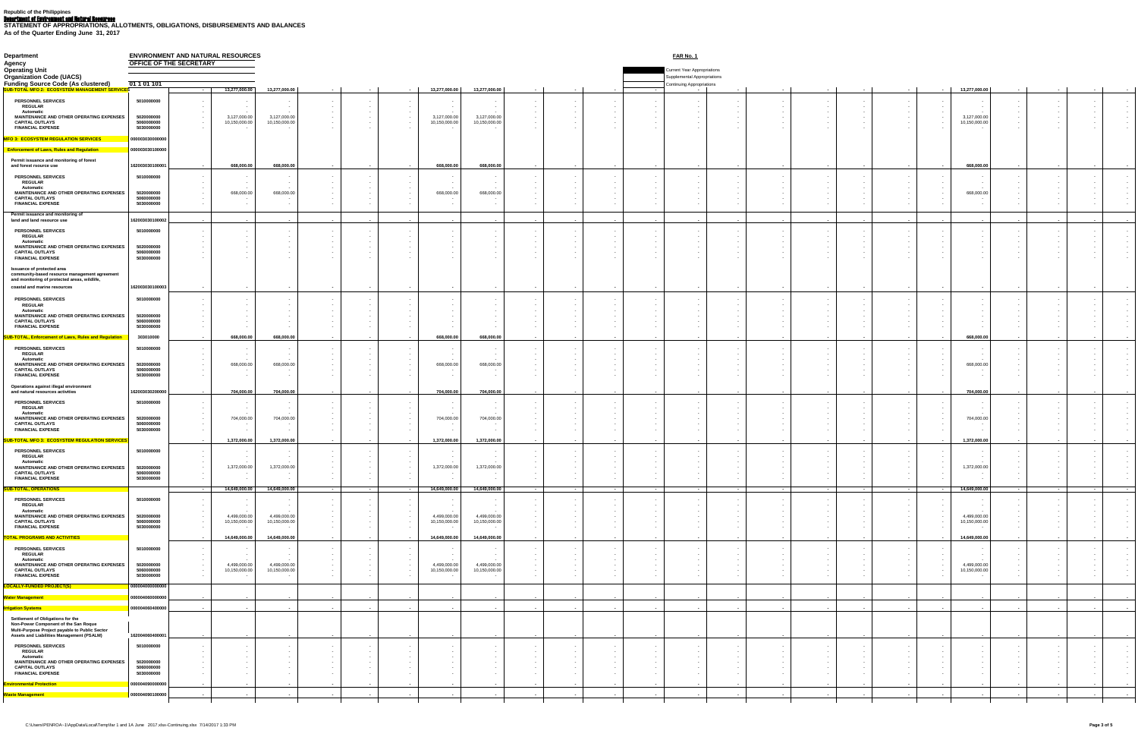Department of Environment and Natural Resources **STATEMENT OF APPROPRIATIONS, ALLOTMENTS, OBLIGATIONS, DISBURSEMENTS AND BALANCES As of the Quarter Ending June 31, 2017**

| <b>Department</b>                                                                                                                                                  | OFFICE OF THE SECRETARY                | <b>ENVIRONMENT AND NATURAL RESOURCES</b>                                  |                               |                                                        |                                              |                                                 |                               |                                                    |                         | <b>FAR No. 1</b>                                                                                             |                                                    |                             |                                         |                  |                  |                                       |               |                                        |                                                    |                                        |
|--------------------------------------------------------------------------------------------------------------------------------------------------------------------|----------------------------------------|---------------------------------------------------------------------------|-------------------------------|--------------------------------------------------------|----------------------------------------------|-------------------------------------------------|-------------------------------|----------------------------------------------------|-------------------------|--------------------------------------------------------------------------------------------------------------|----------------------------------------------------|-----------------------------|-----------------------------------------|------------------|------------------|---------------------------------------|---------------|----------------------------------------|----------------------------------------------------|----------------------------------------|
| <b>Agency</b><br><b>Operating Unit</b><br><b>Organization Code (UACS)</b><br><b>Funding Source Code (As clustered)</b>                                             | $\underline{01} 1 01 101$              |                                                                           |                               |                                                        |                                              |                                                 |                               |                                                    |                         | <b>Current Year Appropriations</b><br><b>Supplemental Appropriations</b><br><b>Continuing Appropriations</b> |                                                    |                             |                                         |                  |                  |                                       |               |                                        |                                                    |                                        |
| <u>TEM MANAGEMENT SERVICES</u>                                                                                                                                     |                                        | 13,277,000.00                                                             | 13,277,000.00                 |                                                        |                                              | 13,277,000.00                                   | 13,277,000.00                 | $\sim$ $\sim$                                      |                         |                                                                                                              |                                                    |                             |                                         |                  | $\sim$           | 13,277,000.00                         |               |                                        |                                                    |                                        |
| <b>PERSONNEL SERVICES</b><br><b>REGULAR</b><br><b>Automatic</b>                                                                                                    | 5010000000                             | <b>Contract Contract</b>                                                  | $\sim$<br>$\sim$              | $\sim$<br>$\sim$ $-$                                   | $\sim$ $-$                                   | $\sim$ $-$<br>$\sim 100$<br>$\sim$              |                               | $\sim$ $-$<br>$\sim$<br>$\sim$ $-$                 |                         |                                                                                                              |                                                    |                             |                                         |                  | $\sim$           | $\sim$ $\sim$<br>$\sim$ $-$           |               |                                        | $\sim$                                             | $\sim$<br>$\sim$ $-$                   |
| <b>MAINTENANCE AND OTHER OPERATING EXPENSES</b><br><b>CAPITAL OUTLAYS</b><br><b>FINANCIAL EXPENSE</b>                                                              | 5020000000<br>5060000000<br>5030000000 | 3,127,000.0<br>$\sim 100$ m $^{-1}$<br>10,150,000.00<br>$\sim$ 100 $\sim$ | 3,127,000.00<br>10,150,000.00 |                                                        | $\sim$ 100 $\pm$<br>$\sim$                   | 3,127,000.00<br>10,150,000.0<br>$\sim$          | 3,127,000.00<br>10,150,000.00 |                                                    |                         |                                                                                                              |                                                    |                             |                                         |                  |                  | 3,127,000.00<br>10,150,000.00         |               |                                        |                                                    |                                        |
| <b>MFO 3: ECOSYSTEM REGULATION SERVICES</b>                                                                                                                        | 000003030000000                        |                                                                           |                               |                                                        |                                              |                                                 |                               |                                                    |                         |                                                                                                              |                                                    |                             |                                         |                  |                  |                                       |               |                                        |                                                    |                                        |
| <b>Enforcement of Laws, Rules and Regulation</b>                                                                                                                   | 000003030100000                        |                                                                           |                               |                                                        |                                              |                                                 |                               |                                                    |                         |                                                                                                              |                                                    |                             |                                         |                  |                  |                                       |               |                                        |                                                    |                                        |
| Permit issuance and monitoring of forest<br>and forest rsource use                                                                                                 | 162003030100001                        | 668,000.00<br>$\sim$ $\sim$                                               | 668,000.00                    |                                                        | $\sim$                                       | 668,000.0                                       | 668,000.00                    | $\sim$ $\sim$                                      |                         | $\sim$                                                                                                       |                                                    |                             |                                         |                  | $\sim$ $\sim$    | 668,000.0                             |               |                                        | $\sim$ $-$                                         |                                        |
| <b>PERSONNEL SERVICES</b><br><b>REGULAR</b>                                                                                                                        | 5010000000                             | $\sim$                                                                    |                               |                                                        | $\sim$                                       | $\sim$ 100 $\pm$<br>$\sim$ 100 $\pm$            |                               | $\sim$<br>$\sim$                                   |                         |                                                                                                              |                                                    |                             |                                         |                  |                  | $\sim$                                |               |                                        | $\sim$                                             |                                        |
| <b>Automatic</b><br><b>MAINTENANCE AND OTHER OPERATING EXPENSES</b><br><b>CAPITAL OUTLAYS</b>                                                                      | 5020000000<br>5060000000               | $\sim$ $-$<br>668,000.0<br>$\sim$ $-$<br>$\sim 100$                       | $\sim$ $\sim$<br>668,000.00   |                                                        | $\sim$ $-$<br>$\sim$ $-$<br>$\sim$           | $\sim 100$<br>668,000.0<br>$\sim$               | 668,000.00                    | $\sim$                                             |                         |                                                                                                              |                                                    |                             |                                         |                  | $\sim$           | $\sim$ $\sim$<br>668,000.0            |               |                                        |                                                    |                                        |
| <b>FINANCIAL EXPENSE</b><br>Permit issuance and monitoring of                                                                                                      | 5030000000                             |                                                                           |                               |                                                        | $\sim$                                       | $\sim 100$                                      |                               |                                                    |                         |                                                                                                              |                                                    |                             |                                         |                  |                  |                                       |               |                                        |                                                    |                                        |
| land and land resource use<br><b>PERSONNEL SERVICES</b>                                                                                                            | 16200303010000<br>5010000000           | $\sim$                                                                    |                               |                                                        |                                              | $\sim$<br>$\sim$                                |                               | $\sim$                                             |                         | $\sim$                                                                                                       |                                                    |                             |                                         |                  | $\sim$ $\sim$    |                                       | $\sim$        |                                        | $\sim$ 100 $\pm$<br>$\sim$ $-$                     |                                        |
| <b>REGULAR</b><br><b>Automatic</b><br>MAINTENANCE AND OTHER OPERATING EXPENSES                                                                                     | 5020000000                             |                                                                           |                               |                                                        |                                              | $\sim$ $-$<br>$\sim$                            |                               |                                                    |                         |                                                                                                              |                                                    |                             |                                         |                  |                  |                                       |               |                                        |                                                    |                                        |
| <b>CAPITAL OUTLAYS</b><br><b>FINANCIAL EXPENSE</b>                                                                                                                 | 5060000000<br>5030000000               |                                                                           |                               |                                                        |                                              |                                                 |                               |                                                    |                         |                                                                                                              |                                                    |                             |                                         |                  |                  |                                       |               |                                        |                                                    |                                        |
| <b>Issuance of protected area</b><br>community-based resource management agreement<br>and monitoring of protected areas, wildlife,<br>coastal and marine resources | 162003030100003                        |                                                                           |                               |                                                        |                                              | $\sim$                                          |                               | $\sim$                                             |                         |                                                                                                              |                                                    |                             |                                         |                  |                  |                                       |               |                                        |                                                    |                                        |
| <b>PERSONNEL SERVICES</b><br><b>REGULAR</b>                                                                                                                        | 5010000000                             |                                                                           |                               |                                                        | $\sim$                                       | $\sim$ $-$                                      |                               |                                                    |                         |                                                                                                              |                                                    |                             |                                         |                  |                  |                                       |               |                                        |                                                    |                                        |
| <b>Automatic</b><br>MAINTENANCE AND OTHER OPERATING EXPENSES<br><b>CAPITAL OUTLAYS</b><br><b>FINANCIAL EXPENSE</b>                                                 | 5020000000<br>5060000000<br>5030000000 |                                                                           |                               |                                                        |                                              | $\sim$                                          |                               |                                                    |                         |                                                                                                              |                                                    |                             |                                         |                  |                  |                                       |               |                                        |                                                    |                                        |
| <b>SUB-TOTAL, Enforcement of Laws, Rules and Regulation</b>                                                                                                        | 303010000                              | 668,000.00                                                                | 668,000.00                    | $\sim$ $\sim$                                          | $\sim$ $\sim$                                | 668,000.00                                      | 668,000.00                    | $\sim$ $\sim$                                      | $\sim$                  | $\sim$<br>$\sim$ $\sim$                                                                                      |                                                    | $\sim$ $\sim$               | $\sim$ $\sim$                           |                  |                  | 668,000.00                            |               | $\sim$ $\sim$                          | $\sim$ 100 $\pm$                                   |                                        |
| <b>PERSONNEL SERVICES</b><br><b>REGULAR</b><br><b>Automatic</b>                                                                                                    | 5010000000                             |                                                                           |                               |                                                        |                                              | $\sim$ $-$<br>$\sim$ 100 $\pm$                  |                               |                                                    |                         |                                                                                                              |                                                    |                             |                                         |                  |                  |                                       |               |                                        |                                                    |                                        |
| MAINTENANCE AND OTHER OPERATING EXPENSES<br><b>CAPITAL OUTLAYS</b><br><b>FINANCIAL EXPENSE</b>                                                                     | 5020000000<br>5060000000<br>5030000000 | 668,000.0<br>$\sim$                                                       | 668,000.00                    |                                                        | $\sim$ $\sim$<br>$\sim$                      | 668,000.0<br>$\sim$                             | 668,000.00                    |                                                    |                         |                                                                                                              |                                                    |                             |                                         |                  |                  | 668,000.0                             |               |                                        |                                                    |                                        |
| <b>Operations against illegal environment</b><br>and natural resources activities                                                                                  | 162003030200000                        | 704,000.00<br>$\sim$ $\sim$                                               | 704,000.00                    | $\sim$ $\sim$<br>$\sim$ $\sim$                         |                                              | 704,000.00                                      | 704,000.00                    | $\sim$ 100 $\sim$                                  |                         | $\sim$ $\sim$                                                                                                | <b>Contract Contract Contract</b><br>$\sim$ $\sim$ | $\sim$ $\sim$               | $\sim$ $\sim$<br>$\sim$ 100 $-$ 100 $-$ |                  |                  | 704,000.00                            |               | $\sim$ $\sim$                          | $\sim 100$ m $^{-1}$                               |                                        |
| <b>PERSONNEL SERVICES</b><br><b>REGULAR</b><br><b>Automatic</b>                                                                                                    | 5010000000                             |                                                                           | $\sim$<br>$\sim$ $-$          |                                                        | $\sim$                                       | $\sim 100$<br>$\sim$ $-$<br>$\sim 100$          |                               |                                                    |                         |                                                                                                              |                                                    |                             |                                         |                  |                  | $\sim$ $\sim$<br>$\sim$               |               |                                        |                                                    |                                        |
| MAINTENANCE AND OTHER OPERATING EXPENSES<br><b>CAPITAL OUTLAYS</b><br><b>FINANCIAL EXPENSE</b>                                                                     | 5020000000<br>5060000000<br>5030000000 | 704,000.0                                                                 | 704,000.00                    |                                                        | $\sim$ 100 $\pm$<br>$\sim$                   | 704,000.00<br>$\sim$<br>$\sim$                  | 704,000.00                    |                                                    |                         |                                                                                                              |                                                    |                             |                                         |                  |                  | 704,000.00                            |               |                                        |                                                    |                                        |
| SUB-TOTAL MFO 3: ECOSYSTEM REGULATION SERVICES<br><b>PERSONNEL SERVICES</b>                                                                                        | 5010000000                             | 1,372,000.00<br>$\sim$ $\sim$                                             | 1,372,000.00                  |                                                        | $\sim$ $\sim$                                | 1,372,000.00                                    | 1,372,000.00                  |                                                    |                         |                                                                                                              |                                                    |                             |                                         |                  |                  | 1,372,000.00                          |               |                                        |                                                    |                                        |
| <b>REGULAR</b><br><b>Automatic</b><br><b>MAINTENANCE AND OTHER OPERATING EXPENSES</b>                                                                              | 5020000000                             | 1,372,000.00<br>$\sim$ $-$                                                | 1,372,000.00                  |                                                        | $\sim$ $-$                                   | 1,372,000.0                                     | 1,372,000.00                  |                                                    |                         |                                                                                                              |                                                    |                             |                                         |                  |                  | 1,372,000.00                          |               |                                        |                                                    |                                        |
| <b>CAPITAL OUTLAYS</b><br><b>FINANCIAL EXPENSE</b><br>SUB-TOTAL, OPERATIONS                                                                                        | 5060000000<br>5030000000               | 14,649,000.00                                                             | 14,649,000.00                 | $\sim$                                                 |                                              | 14,649,000.0                                    | 14,649,000.00                 | $\sim$                                             |                         |                                                                                                              | $\sim$ $\sim$                                      | $\sim$ $\sim$               | $\sim$ $\sim$                           |                  |                  | 14,649,000.00                         |               |                                        |                                                    |                                        |
| <b>PERSONNEL SERVICES</b><br><b>REGULAR</b>                                                                                                                        | 5010000000                             |                                                                           |                               |                                                        |                                              |                                                 |                               |                                                    |                         |                                                                                                              |                                                    |                             |                                         |                  |                  |                                       |               |                                        |                                                    |                                        |
| <b>Automatic</b><br>MAINTENANCE AND OTHER OPERATING EXPENSES<br><b>CAPITAL OUTLAYS</b><br><b>FINANCIAL EXPENSE</b>                                                 | 5020000000<br>5060000000<br>5030000000 | 4,499,000.0<br>10,150,000.00                                              | 4,499,000.00<br>10,150,000.00 |                                                        |                                              | $\sim$<br>4,499,000.0<br>10,150,000.0<br>$\sim$ | 4,499,000.00<br>10,150,000.00 |                                                    |                         |                                                                                                              |                                                    |                             |                                         |                  |                  | 4,499,000.00<br>10,150,000.00         |               |                                        |                                                    |                                        |
| TOTAL PROGRAMS AND ACTIVITIES<br><b>PERSONNEL SERVICES</b><br><b>REGULAR</b>                                                                                       | 5010000000                             | 14,649,000.00<br>$\sim$ $\sim$                                            | 14,649,000.00                 |                                                        |                                              | 14,649,000.00                                   | 14,649,000.00                 | $\sim$ $\sim$                                      |                         |                                                                                                              |                                                    |                             |                                         |                  |                  | 14,649,000.00                         |               |                                        |                                                    |                                        |
| <b>Automatic</b><br>MAINTENANCE AND OTHER OPERATING EXPENSES<br><b>CAPITAL OUTLAYS</b><br><b>FINANCIAL EXPENSE</b>                                                 | 5020000000<br>5060000000<br>5030000000 | 4,499,000.0<br>10,150,000.00                                              | 4,499,000.00<br>10,150,000.00 |                                                        |                                              | $\sim$<br>4,499,000.0<br>10,150,000.00          | 4,499,000.00<br>10,150,000.00 |                                                    |                         |                                                                                                              |                                                    |                             |                                         |                  |                  | 4,499,000.0<br>10,150,000.00          |               |                                        |                                                    |                                        |
| LOCALLY-FUNDED PROJECT(S)                                                                                                                                          | 000004000000000<br>000004060000000     |                                                                           |                               | $\sim$ $\sim$                                          |                                              |                                                 |                               | $\sim$                                             |                         |                                                                                                              |                                                    |                             |                                         |                  |                  |                                       |               |                                        |                                                    |                                        |
| <mark>Water Management</mark><br><mark>Irrigation Systems</mark>                                                                                                   | 000004060400000                        |                                                                           |                               |                                                        | $\sim$ $\sim$                                | $\sim$ $-$                                      |                               | $\sim$                                             |                         | $\sim$                                                                                                       | $\sim$ $\sim$                                      | $\sim$ $\sim$               |                                         |                  |                  |                                       |               |                                        | $\sim$ $-$                                         |                                        |
| <b>Settlement of Obligations for the</b><br>Non-Power Component of the San Roque<br>Multi-Purpose Project payable to Public Sector                                 |                                        |                                                                           |                               |                                                        |                                              |                                                 |                               |                                                    |                         |                                                                                                              |                                                    |                             |                                         |                  |                  |                                       |               |                                        |                                                    |                                        |
| <b>Assets and Liabilities Management (PSALM)</b><br><b>PERSONNEL SERVICES</b>                                                                                      | 162004060400001<br>5010000000          | <b>Service</b><br>$\sim$ 100 $\sim$                                       | $\sim$                        | $\sim$ $\sim$<br>$\sim$ $-$<br>$\sim$ $-$              | $\sim$                                       | $\sim$<br>$\sim$ 100 $\pm$                      | <b>Service</b> State          | $\sim 100$ m $^{-1}$<br>$\sim$ 100 $\sim$          | $\sim$ $\sim$<br>$\sim$ | $\sim$ 100 $\sim$                                                                                            |                                                    | <b>Service</b> Construction |                                         | $\sim$           | $\sim$           |                                       |               | $\sim$ $\sim$<br>$\sim$ $-$            | $\sim$ $-$<br><b>Contract Contract</b>             | $\sim$ $-$                             |
| <b>REGULAR</b><br><b>Automatic</b><br>MAINTENANCE AND OTHER OPERATING EXPENSES                                                                                     | 5020000000                             | $\sim$ 100 $\pm$<br><b>Contract Contract</b><br><b>Contract Contract</b>  |                               | $\sim$ 100 $\pm$<br>$\sim 100$ m $^{-1}$<br>$\sim$ $-$ | $\sim$ $-$<br>$\sim$ 100 $\pm$<br>$\sim$ $-$ | $\sim 100$<br>$\sim 100$<br>$\sim$ 100 $\pm$    |                               | $\sim$ 100 $\pm$<br>$\sim 100$<br>$\sim$ 100 $\pm$ |                         |                                                                                                              | $\sim$ 100 $\sim$                                  |                             |                                         | $\sim$<br>$\sim$ | $\sim$<br>$\sim$ | $\sim$<br>$\sim$ $-$<br>$\sim$ $\sim$ |               | $\sim 100$<br>$\sim$ $-$<br>$\sim$ $-$ | $\sim 100$<br>$\sim$ 100 $\pm$<br>$\sim$ 100 $\pm$ | $\sim$ $-$<br>$\sim 100$<br>$\sim 100$ |
| <b>CAPITAL OUTLAYS</b><br><b>FINANCIAL EXPENSE</b>                                                                                                                 | 5060000000<br>5030000000               | $\sim 100$ m $^{-1}$<br>$\sim 100$                                        |                               |                                                        | $\sim$                                       | $\sim$ 100 $\pm$<br>$\sim$ 100 $\pm$            |                               | $\sim$<br>$\sim$ 100 $\pm$                         |                         |                                                                                                              |                                                    |                             |                                         |                  |                  |                                       |               |                                        | $\sim$ 100 $\pm$<br>$\sim$ 100 $\pm$               | $\sim$ $-$<br>$\sim$ 100 $\pm$         |
| <b>Environmental Protection</b>                                                                                                                                    | 000004090000000                        | $\sim$ $\sim$<br>$\sim$                                                   | $\sim$ $\sim$                 | $\sim$<br>$\sim$                                       | $\sim$ 100 $\pm$ 100 $\pm$                   | $\sim$ $\sim$                                   | $\sim$ $\sim$                 | <b>Service</b>                                     | $\sim$ $\sim$           | $\sim$ $\sim$<br>$\sim$ $\sim$                                                                               | $\sim$ $\sim$                                      | $\sim$ $\sim$               | <b><i><u>Participate</u></i></b>        | $\sim$           | $\sim$           |                                       | $\sim$ $\sim$ | $\sim$ $\sim$                          | $\sim$ $-$                                         | $\sim$ $\sim$                          |
| Waste Management                                                                                                                                                   | 000004090100000                        | $\sim$ 100 $\sim$                                                         |                               | $\sim$                                                 |                                              | $\sim$ 100 $\pm$                                | $\sim$ $\sim$                 | $\sim$ 100 $\pm$                                   |                         | $\sim$<br>$\sim$                                                                                             |                                                    | $\sim$ $\sim$               |                                         |                  | $\sim$           |                                       | $\sim$        |                                        | $\sim$ 100 $\pm$                                   |                                        |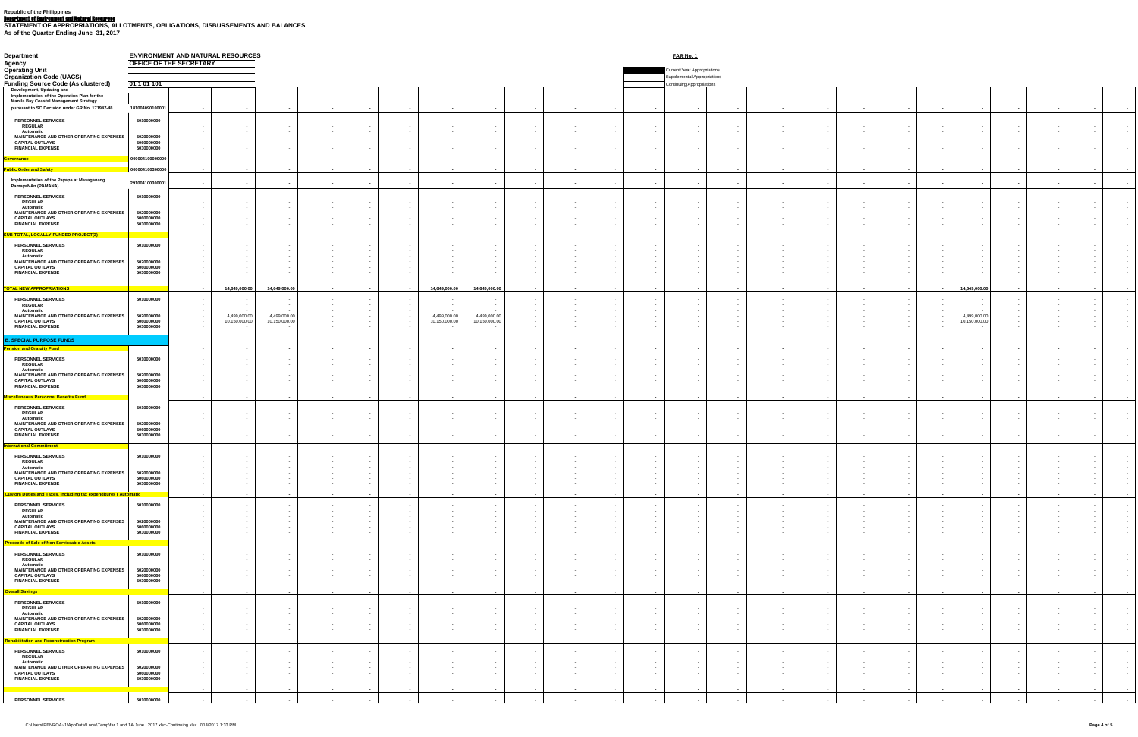Department of Environment and Natural Resources **STATEMENT OF APPROPRIATIONS, ALLOTMENTS, OBLIGATIONS, DISBURSEMENTS AND BALANCES As of the Quarter Ending June 31, 2017**

| <b>Department</b>                                                                                                                                                       |                                        | <b>ENVIRONMENT AND NATURAL RESOURCES</b><br><u>FAR No. 1</u><br><b>OFFICE OF THE SECRETARY</b> |                               |                               |  |                      |                  |                               |                                |                      |        |  |                                                                           |                           |                                                                            |               |                            |                          |                          |                                          |                              |                                    |                                                                                            |
|-------------------------------------------------------------------------------------------------------------------------------------------------------------------------|----------------------------------------|------------------------------------------------------------------------------------------------|-------------------------------|-------------------------------|--|----------------------|------------------|-------------------------------|--------------------------------|----------------------|--------|--|---------------------------------------------------------------------------|---------------------------|----------------------------------------------------------------------------|---------------|----------------------------|--------------------------|--------------------------|------------------------------------------|------------------------------|------------------------------------|--------------------------------------------------------------------------------------------|
| <b>Agency</b><br><b>Operating Unit</b><br><b>Organization Code (UACS)</b>                                                                                               |                                        |                                                                                                |                               |                               |  |                      |                  |                               |                                |                      |        |  |                                                                           |                           | <b>Current Year Appropriations</b><br><b>Supplemental Appropriations</b>   |               |                            |                          |                          |                                          |                              |                                    |                                                                                            |
| <b>Funding Source Code (As clustered)</b><br>Development, Updating and<br>Implementation of the Operation Plan for the<br><b>Manila Bay Coastal Management Strategy</b> | 01 1 01 101                            |                                                                                                |                               |                               |  |                      |                  |                               |                                |                      |        |  |                                                                           | Continuing Appropriations |                                                                            |               |                            |                          |                          |                                          |                              |                                    |                                                                                            |
| pursuant to SC Decision under GR No. 171947-48                                                                                                                          | 181004090100001                        |                                                                                                |                               |                               |  |                      |                  |                               |                                |                      |        |  | $\sim$                                                                    |                           | $\sim$                                                                     |               |                            |                          | $\sim$                   |                                          |                              |                                    | <b>Contract Contract</b>                                                                   |
| <b>PERSONNEL SERVICES</b><br><b>REGULAR</b><br><b>Automatic</b>                                                                                                         | 5010000000                             | $\sim 100$<br>$\sim$ 100 $\pm$                                                                 |                               |                               |  |                      | $\sim$<br>$\sim$ | $\sim$                        |                                |                      |        |  | $\sim 100$<br>$\sim 100$<br>$\sim$ 100 $\pm$                              |                           | $\sim$ $ \sim$<br>$\sim 100$<br>$\sim$                                     | $\sim$        |                            |                          |                          | $\sim$ $-$<br>$\sim$ 100 $\pm$<br>$\sim$ |                              |                                    | <b>Contract Contract</b><br><b>Contract Contract</b>                                       |
| MAINTENANCE AND OTHER OPERATING EXPENSES<br><b>CAPITAL OUTLAYS</b><br><b>FINANCIAL EXPENSE</b>                                                                          | 5020000000<br>5060000000<br>5030000000 |                                                                                                |                               |                               |  |                      |                  |                               |                                |                      |        |  | $\sim$ $-$<br>$\sim$ $-$                                                  |                           | $\sim$ $ \sim$<br>$\sim$ $-$<br>$\sim$                                     |               |                            |                          |                          |                                          |                              |                                    | $\sim$ 100 $\pm$<br>$\sim$ 100 $\pm$<br>$\sim$ 100 $\mu$                                   |
| <b>Governance</b><br><b>Public Order and Safety</b>                                                                                                                     | 000004100000000<br>00000410030000      | $\sim$<br>$\sim$                                                                               |                               |                               |  |                      |                  |                               |                                | $\sim$               |        |  | $\sim$<br>$\sim$                                                          |                           | $\sim$                                                                     |               |                            |                          |                          | $\sim$                                   | $\sim$                       |                                    |                                                                                            |
| Implementation of the Payapa at Masaganang<br>PamayaNAn (PAMANA)                                                                                                        | 291004100300001                        |                                                                                                |                               |                               |  |                      |                  |                               |                                |                      |        |  | $\sim$                                                                    |                           | $\sim$                                                                     |               |                            |                          |                          | $\sim$                                   |                              |                                    |                                                                                            |
| <b>PERSONNEL SERVICES</b><br><b>REGULAR</b>                                                                                                                             | 5010000000                             |                                                                                                |                               |                               |  |                      |                  | $\sim$                        |                                |                      |        |  | $\sim$ $-$<br>$\sim$ $-$                                                  |                           | $\sim$ $ \sim$<br>$\sim$ 100 $\pm$                                         | $\sim$        |                            |                          |                          | $\sim$<br>$\sim$ $-$                     |                              |                                    | <b>Contract Contract</b>                                                                   |
| <b>Automatic</b><br>MAINTENANCE AND OTHER OPERATING EXPENSES<br><b>CAPITAL OUTLAYS</b><br><b>FINANCIAL EXPENSE</b>                                                      | 5020000000<br>5060000000<br>5030000000 | $\sim$ $-$                                                                                     |                               |                               |  |                      |                  |                               |                                |                      |        |  | $\sim$<br>$\sim$ $-$<br>$\sim$ $-$<br>$\sim$ $-$                          |                           | $\sim$ 100 $\pm$<br>$\sim$ $ \sim$<br>$\sim$ 100 $\pm$<br>$\sim$ 100 $\pm$ |               |                            |                          |                          | $\sim$<br>$\sim$ $-$<br>$\sim$           |                              |                                    | <b>Contract Contract</b><br>$\sim 1000$ km s $^{-1}$<br>$\sim$<br><b>Contract Contract</b> |
| <mark>SUB-TOTAL, LOCALLY-FUNDED PROJECT(3)</mark>                                                                                                                       |                                        | $\sim$ $\sim$                                                                                  |                               |                               |  |                      |                  |                               |                                | $\sim$               |        |  | $\sim$                                                                    |                           | $\sim$ $\sim$                                                              | $\sim$        | $\sim$ $\sim$              |                          | $\sim$ $\sim$            | $\sim$ $\sim$                            | $\sim$                       |                                    |                                                                                            |
| <b>PERSONNEL SERVICES</b><br><b>REGULAR</b><br><b>Automatic</b>                                                                                                         | 5010000000                             |                                                                                                |                               |                               |  |                      |                  |                               |                                |                      |        |  |                                                                           |                           |                                                                            |               |                            |                          |                          |                                          |                              |                                    |                                                                                            |
| MAINTENANCE AND OTHER OPERATING EXPENSES<br><b>CAPITAL OUTLAYS</b><br><b>FINANCIAL EXPENSE</b>                                                                          | 5020000000<br>5060000000<br>5030000000 |                                                                                                |                               |                               |  |                      |                  |                               |                                |                      |        |  |                                                                           |                           | $\sim$                                                                     |               |                            |                          |                          |                                          |                              |                                    |                                                                                            |
| <b>TOTAL NEW APPROPRIATIONS</b>                                                                                                                                         |                                        | <b>Service</b>                                                                                 | 14,649,000.00                 | 14,649,000.00                 |  | $\sim$ $\sim$        |                  | 14,649,000.00                 | 14,649,000.00                  | $\sim$ $\sim$        |        |  | $\sim$ $\sim$                                                             |                           | $\sim$                                                                     | $\sim$ $\sim$ | $\sim$ $\sim$              |                          | <b>Service Contracts</b> | $\sim$ $\sim$<br>$\sim$                  | 14,649,000.00<br>$\sim$      |                                    | $\sim$ $\sim$                                                                              |
| <b>PERSONNEL SERVICES</b><br><b>REGULAR</b><br><b>Automatic</b>                                                                                                         | 5010000000                             |                                                                                                |                               |                               |  |                      |                  |                               |                                |                      |        |  |                                                                           |                           |                                                                            |               |                            |                          |                          |                                          |                              |                                    |                                                                                            |
| MAINTENANCE AND OTHER OPERATING EXPENSES<br><b>CAPITAL OUTLAYS</b><br><b>FINANCIAL EXPENSE</b>                                                                          | 5020000000<br>5060000000<br>5030000000 | $\sim 100$ m $^{-1}$                                                                           | 4,499,000.00<br>10,150,000.00 | 4,499,000.00<br>10,150,000.00 |  |                      |                  | 4,499,000.00<br>10,150,000.00 | 4,499,000.00<br>10,150,000.00  |                      |        |  |                                                                           |                           |                                                                            |               |                            |                          |                          |                                          | 4,499,000.0<br>10,150,000.00 |                                    |                                                                                            |
| <b>B. SPECIAL PURPOSE FUNDS</b><br>Pension and Gratuity Fund                                                                                                            |                                        | $\sim$ $\sim$ $\sim$                                                                           | $\sim$                        |                               |  |                      |                  |                               |                                | $\sim$ $\sim$        |        |  | $\sim$ $\sim$                                                             |                           |                                                                            |               |                            | <b>Service Contracts</b> |                          | $\sim$ $\sim$                            | $\sim$                       |                                    | <b>Contract Contract Contract</b>                                                          |
| <b>PERSONNEL SERVICES</b><br><b>REGULAR</b>                                                                                                                             | 5010000000                             |                                                                                                |                               |                               |  |                      |                  |                               |                                |                      |        |  |                                                                           |                           | $\sim$ 100 $\pm$                                                           |               |                            |                          |                          |                                          |                              |                                    |                                                                                            |
| <b>Automatic</b><br>MAINTENANCE AND OTHER OPERATING EXPENSES<br><b>CAPITAL OUTLAYS</b>                                                                                  | 5020000000<br>5060000000               |                                                                                                |                               |                               |  |                      |                  |                               |                                |                      |        |  |                                                                           |                           |                                                                            |               |                            |                          |                          |                                          |                              |                                    |                                                                                            |
| <b>FINANCIAL EXPENSE</b><br><b>Miscellaneous Personnel Benefits Fund</b>                                                                                                | 5030000000                             | $\sim 100$ m $^{-1}$                                                                           | $\sim$                        | $\sim$                        |  | $\sim$ $\sim$        | $\sim$ $\sim$    | $\sim$ $\sim$                 | <b>State State</b>             | $\sim$ $\sim$        | $\sim$ |  | $\sim$ $\sim$<br>$\sim$ $-$                                               | $\sim$ $\sim$             | $\sim$ $\sim$                                                              | $\sim$ $\sim$ | $\sim$ 100 $\pm$ 100 $\pm$ | $\sim$ 100 $\pm$         | $\sim$ 100 $\pm$         | $\sim$ $\sim$                            | $\sim$ $\sim$                | $\sim$                             | $\sim$ $\sim$                                                                              |
| <b>PERSONNEL SERVICES</b><br><b>REGULAR</b><br><b>Automatic</b>                                                                                                         | 5010000000                             |                                                                                                |                               |                               |  |                      |                  |                               |                                |                      |        |  |                                                                           |                           |                                                                            |               |                            |                          |                          |                                          |                              |                                    |                                                                                            |
| MAINTENANCE AND OTHER OPERATING EXPENSES<br><b>CAPITAL OUTLAYS</b><br><b>FINANCIAL EXPENSE</b>                                                                          | 5020000000<br>5060000000<br>5030000000 |                                                                                                |                               |                               |  |                      |                  |                               |                                |                      |        |  |                                                                           |                           |                                                                            |               |                            |                          |                          |                                          |                              |                                    |                                                                                            |
| <b>International Commitment</b><br><b>PERSONNEL SERVICES</b>                                                                                                            | 5010000000                             |                                                                                                |                               |                               |  |                      |                  |                               |                                |                      |        |  | $\sim$ $\sim$                                                             |                           |                                                                            |               |                            |                          |                          |                                          |                              |                                    |                                                                                            |
| <b>REGULAR</b><br><b>Automatic</b><br>MAINTENANCE AND OTHER OPERATING EXPENSES                                                                                          | 5020000000                             |                                                                                                |                               |                               |  |                      |                  |                               |                                |                      |        |  |                                                                           |                           |                                                                            |               |                            |                          |                          |                                          |                              |                                    |                                                                                            |
| <b>CAPITAL OUTLAYS</b><br><b>FINANCIAL EXPENSE</b>                                                                                                                      | 5060000000<br>5030000000               |                                                                                                |                               |                               |  |                      |                  |                               |                                |                      |        |  |                                                                           |                           |                                                                            |               |                            |                          |                          |                                          |                              |                                    |                                                                                            |
| <b>Custom Duties and Taxes, including tax expenditures (Automatic</b><br><b>PERSONNEL SERVICES</b>                                                                      | 5010000000                             | $\sim$ $\sim$ $\sim$                                                                           |                               |                               |  |                      |                  |                               |                                | $\sim$               |        |  | $\sim$                                                                    |                           |                                                                            |               |                            |                          |                          | $\sim$                                   |                              |                                    |                                                                                            |
| <b>REGULAR</b><br><b>Automatic</b><br>MAINTENANCE AND OTHER OPERATING EXPENSES<br><b>CAPITAL OUTLAYS</b>                                                                | 5020000000<br>5060000000               |                                                                                                |                               |                               |  |                      |                  |                               |                                |                      |        |  |                                                                           |                           |                                                                            |               |                            |                          |                          |                                          |                              |                                    |                                                                                            |
| <b>FINANCIAL EXPENSE</b><br><b>Proceeds of Sale of Non Serviceable Assets</b>                                                                                           | 5030000000                             | <b>Service Contract Contract</b>                                                               |                               |                               |  | $\sim$ $\sim$        |                  | $\sim$ $\sim$                 | $\sim$ $\sim$                  | <b>Service</b>       |        |  | $\sim$ $\sim$<br>$\sim$ $\sim$                                            |                           | $\sim$ $\sim$                                                              | $\sim$ $\sim$ | $\sim$ $\sim$              | <b>Service</b>           | $\sim$                   | $\sim$ $\sim$                            | $\sim$ 100 $\pm$             |                                    |                                                                                            |
| <b>PERSONNEL SERVICES</b><br><b>REGULAR</b>                                                                                                                             | 5010000000                             |                                                                                                |                               |                               |  |                      |                  |                               |                                |                      |        |  |                                                                           |                           |                                                                            |               |                            |                          |                          |                                          |                              |                                    |                                                                                            |
| <b>Automatic</b><br>MAINTENANCE AND OTHER OPERATING EXPENSES<br><b>CAPITAL OUTLAYS</b>                                                                                  | 5020000000<br>5060000000               |                                                                                                |                               |                               |  |                      |                  |                               |                                |                      |        |  |                                                                           |                           |                                                                            |               |                            |                          |                          |                                          |                              |                                    |                                                                                            |
| <b>FINANCIAL EXPENSE</b><br><b>Overall Savings</b>                                                                                                                      | 5030000000                             | $\sim$ 100 $\pm$                                                                               |                               |                               |  | $\sim$               |                  | $\sim$ $\sim$                 |                                | $\sim$ $\sim$        |        |  | $\sim$ $-$                                                                | $\sim$ $\sim$             | $\sim$                                                                     | $\sim$ $-$    | $\sim$ $\sim$              | $\sim$ $\sim$            | $\sim$                   | $\sim$                                   | $\sim$                       |                                    |                                                                                            |
| <b>PERSONNEL SERVICES</b><br><b>REGULAR</b><br><b>Automatic</b>                                                                                                         | 5010000000                             |                                                                                                |                               |                               |  |                      |                  |                               |                                |                      |        |  |                                                                           |                           |                                                                            |               |                            |                          |                          |                                          |                              |                                    |                                                                                            |
| MAINTENANCE AND OTHER OPERATING EXPENSES<br><b>CAPITAL OUTLAYS</b><br><b>FINANCIAL EXPENSE</b>                                                                          | 5020000000<br>5060000000<br>5030000000 |                                                                                                |                               |                               |  |                      |                  |                               |                                |                      |        |  |                                                                           |                           | $\sim$<br>$\sim$ 100 $\pm$                                                 |               |                            |                          |                          |                                          |                              |                                    |                                                                                            |
| <b>Rehabilitation and Reconstruction Program</b>                                                                                                                        |                                        | $\sim$ $\sim$                                                                                  |                               |                               |  |                      |                  |                               |                                |                      |        |  | $\sim$ $\sim$<br>$\sim$ $\sim$                                            |                           | $\sim$ $\sim$                                                              |               |                            |                          |                          |                                          | $\sim$ $\sim$                |                                    |                                                                                            |
| PERSONNEL SERVICES<br><b>REGULAR<br/>Automatic</b>                                                                                                                      | 5010000000                             | $\sim$ $-$<br>$\sim$ 100 $\pm$<br>$\sim$ 100 $\pm$                                             |                               |                               |  |                      |                  | $\sim$                        |                                | $\sim$ $-$           |        |  | $\sim 100$ m $^{-1}$<br>$\sim 100$<br>$\sim$                              |                           | $\sim$ $ -$<br>$\sim$ $ \sim$<br>$\sim$                                    | $\sim 100$    |                            |                          |                          | $\sim 100$<br>$\sim$                     | $\sim$                       | $\sim 100$ m $^{-1}$<br>$\sim$ $-$ | $\sim$ 100 $\pm$<br><b>Contract Contract</b>                                               |
| MAINTENANCE AND OTHER OPERATING EXPENSES<br>CAPITAL OUTLAYS<br>FINANCIAL EXPENSE                                                                                        | 5020000000<br>5060000000<br>5030000000 | $\sim$ 100 $\pm$<br>$\sim$ 100 $\pm$<br>$\sim 100$ m $^{-1}$                                   |                               |                               |  |                      |                  |                               |                                |                      |        |  | $\sim$ $-$<br>$\sim 100$ m $^{-1}$                                        |                           | $\sim$<br>$\sim$ 100 $\pm$<br>$\sim$ 100 $\sim$                            |               |                            |                          |                          | $\sim$<br>$\sim$ $-$                     |                              | $\sim$<br>$\sim$ $-$               | $\sim$<br><b>Contract Contract</b>                                                         |
| <b>PERSONNEL SERVICES</b>                                                                                                                                               | 5010000000                             | $\sim$ 100 $-$ 100 $-$<br>$\sim 100$ m $^{-1}$                                                 |                               | $\sim$                        |  | $\sim$<br>$\sim$ $-$ | $\sim$           | $\sim$<br>$\sim$ $-$          | $\sim$ 100 $\pm$<br>$\sim$ $-$ | $\sim$<br>$\sim$ $-$ | $\sim$ |  | $\sim$ $-$<br>$\sim$ $\sim$<br>$\sim 100$ m $^{-1}$<br><b>State State</b> | $\sim$                    | $\sim$ $\sim$<br>$\sim$ 100 $\pm$                                          | $\sim$ $-$    |                            | $\sim$ $\sim$            | $\sim$ 100 $\pm$         | $\sim$<br>$\sim 100$ m $^{-1}$           | $\sim$<br>$\sim$             | $\sim$                             | $\sim$ $\sim$<br><b>Contract Contract</b><br><b>Contractor</b>                             |